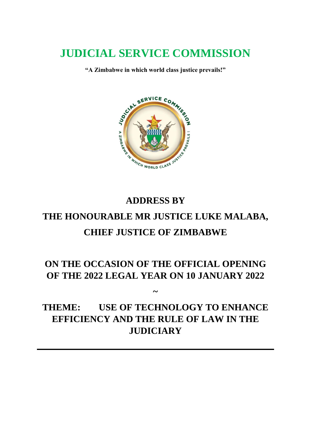# **JUDICIAL SERVICE COMMISSION**

**"A Zimbabwe in which world class justice prevails!"**



# **ADDRESS BY THE HONOURABLE MR JUSTICE LUKE MALABA, CHIEF JUSTICE OF ZIMBABWE**

# **ON THE OCCASION OF THE OFFICIAL OPENING OF THE 2022 LEGAL YEAR ON 10 JANUARY 2022**

**~**

# **THEME: USE OF TECHNOLOGY TO ENHANCE EFFICIENCY AND THE RULE OF LAW IN THE JUDICIARY**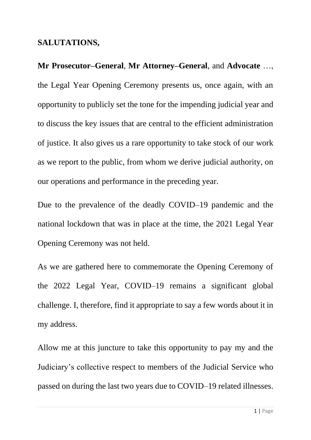#### **SALUTATIONS,**

**Mr Prosecutor–General**, **Mr Attorney–General**, and **Advocate** …, the Legal Year Opening Ceremony presents us, once again, with an opportunity to publicly set the tone for the impending judicial year and to discuss the key issues that are central to the efficient administration of justice. It also gives us a rare opportunity to take stock of our work as we report to the public, from whom we derive judicial authority, on our operations and performance in the preceding year.

Due to the prevalence of the deadly COVID–19 pandemic and the national lockdown that was in place at the time, the 2021 Legal Year Opening Ceremony was not held.

As we are gathered here to commemorate the Opening Ceremony of the 2022 Legal Year, COVID–19 remains a significant global challenge. I, therefore, find it appropriate to say a few words about it in my address.

Allow me at this juncture to take this opportunity to pay my and the Judiciary's collective respect to members of the Judicial Service who passed on during the last two years due to COVID–19 related illnesses.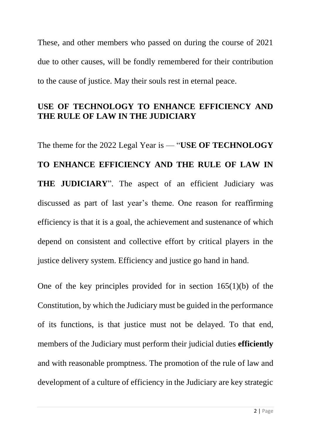These, and other members who passed on during the course of 2021 due to other causes, will be fondly remembered for their contribution to the cause of justice. May their souls rest in eternal peace.

## **USE OF TECHNOLOGY TO ENHANCE EFFICIENCY AND THE RULE OF LAW IN THE JUDICIARY**

The theme for the 2022 Legal Year is — "**USE OF TECHNOLOGY TO ENHANCE EFFICIENCY AND THE RULE OF LAW IN THE JUDICIARY**". The aspect of an efficient Judiciary was discussed as part of last year's theme. One reason for reaffirming efficiency is that it is a goal, the achievement and sustenance of which depend on consistent and collective effort by critical players in the justice delivery system. Efficiency and justice go hand in hand.

One of the key principles provided for in section 165(1)(b) of the Constitution, by which the Judiciary must be guided in the performance of its functions, is that justice must not be delayed. To that end, members of the Judiciary must perform their judicial duties **efficiently** and with reasonable promptness. The promotion of the rule of law and development of a culture of efficiency in the Judiciary are key strategic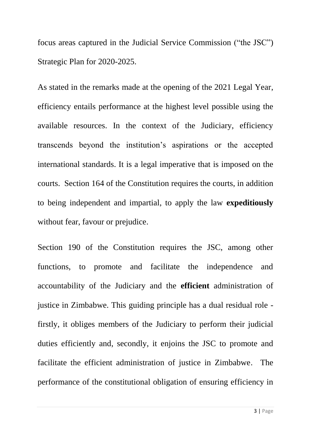focus areas captured in the Judicial Service Commission ("the JSC") Strategic Plan for 2020-2025.

As stated in the remarks made at the opening of the 2021 Legal Year, efficiency entails performance at the highest level possible using the available resources. In the context of the Judiciary, efficiency transcends beyond the institution's aspirations or the accepted international standards. It is a legal imperative that is imposed on the courts. Section 164 of the Constitution requires the courts, in addition to being independent and impartial, to apply the law **expeditiously** without fear, favour or prejudice.

Section 190 of the Constitution requires the JSC, among other functions, to promote and facilitate the independence and accountability of the Judiciary and the **efficient** administration of justice in Zimbabwe. This guiding principle has a dual residual role firstly, it obliges members of the Judiciary to perform their judicial duties efficiently and, secondly, it enjoins the JSC to promote and facilitate the efficient administration of justice in Zimbabwe. The performance of the constitutional obligation of ensuring efficiency in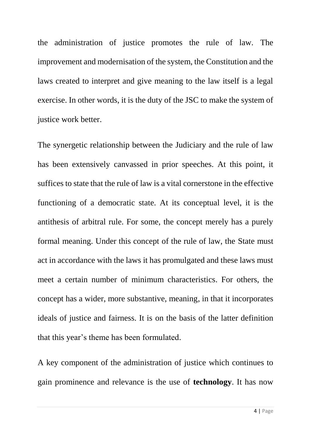the administration of justice promotes the rule of law. The improvement and modernisation of the system, the Constitution and the laws created to interpret and give meaning to the law itself is a legal exercise. In other words, it is the duty of the JSC to make the system of justice work better.

The synergetic relationship between the Judiciary and the rule of law has been extensively canvassed in prior speeches. At this point, it suffices to state that the rule of law is a vital cornerstone in the effective functioning of a democratic state. At its conceptual level, it is the antithesis of arbitral rule. For some, the concept merely has a purely formal meaning. Under this concept of the rule of law, the State must act in accordance with the laws it has promulgated and these laws must meet a certain number of minimum characteristics. For others, the concept has a wider, more substantive, meaning, in that it incorporates ideals of justice and fairness. It is on the basis of the latter definition that this year's theme has been formulated.

A key component of the administration of justice which continues to gain prominence and relevance is the use of **technology**. It has now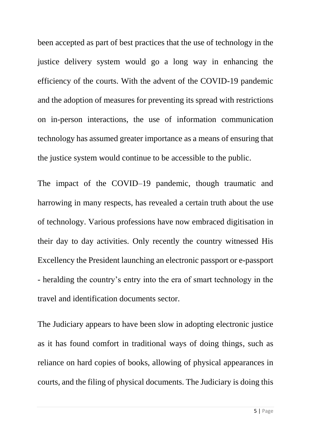been accepted as part of best practices that the use of technology in the justice delivery system would go a long way in enhancing the efficiency of the courts. With the advent of the COVID-19 pandemic and the adoption of measures for preventing its spread with restrictions on in-person interactions, the use of information communication technology has assumed greater importance as a means of ensuring that the justice system would continue to be accessible to the public.

The impact of the COVID–19 pandemic, though traumatic and harrowing in many respects, has revealed a certain truth about the use of technology. Various professions have now embraced digitisation in their day to day activities. Only recently the country witnessed His Excellency the President launching an electronic passport or e-passport - heralding the country's entry into the era of smart technology in the travel and identification documents sector.

The Judiciary appears to have been slow in adopting electronic justice as it has found comfort in traditional ways of doing things, such as reliance on hard copies of books, allowing of physical appearances in courts, and the filing of physical documents. The Judiciary is doing this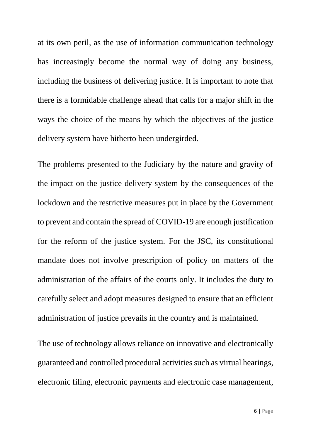at its own peril, as the use of information communication technology has increasingly become the normal way of doing any business, including the business of delivering justice. It is important to note that there is a formidable challenge ahead that calls for a major shift in the ways the choice of the means by which the objectives of the justice delivery system have hitherto been undergirded.

The problems presented to the Judiciary by the nature and gravity of the impact on the justice delivery system by the consequences of the lockdown and the restrictive measures put in place by the Government to prevent and contain the spread of COVID-19 are enough justification for the reform of the justice system. For the JSC, its constitutional mandate does not involve prescription of policy on matters of the administration of the affairs of the courts only. It includes the duty to carefully select and adopt measures designed to ensure that an efficient administration of justice prevails in the country and is maintained.

The use of technology allows reliance on innovative and electronically guaranteed and controlled procedural activities such as virtual hearings, electronic filing, electronic payments and electronic case management,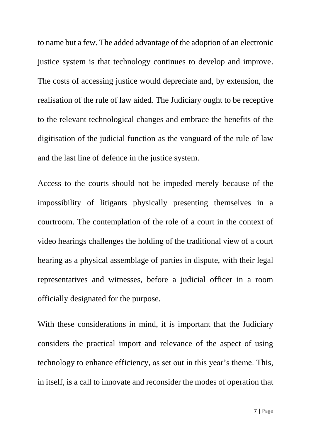to name but a few. The added advantage of the adoption of an electronic justice system is that technology continues to develop and improve. The costs of accessing justice would depreciate and, by extension, the realisation of the rule of law aided. The Judiciary ought to be receptive to the relevant technological changes and embrace the benefits of the digitisation of the judicial function as the vanguard of the rule of law and the last line of defence in the justice system.

Access to the courts should not be impeded merely because of the impossibility of litigants physically presenting themselves in a courtroom. The contemplation of the role of a court in the context of video hearings challenges the holding of the traditional view of a court hearing as a physical assemblage of parties in dispute, with their legal representatives and witnesses, before a judicial officer in a room officially designated for the purpose.

With these considerations in mind, it is important that the Judiciary considers the practical import and relevance of the aspect of using technology to enhance efficiency, as set out in this year's theme. This, in itself, is a call to innovate and reconsider the modes of operation that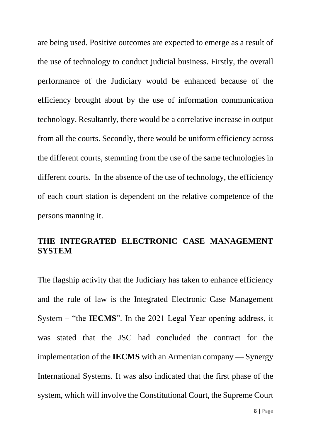are being used. Positive outcomes are expected to emerge as a result of the use of technology to conduct judicial business. Firstly, the overall performance of the Judiciary would be enhanced because of the efficiency brought about by the use of information communication technology. Resultantly, there would be a correlative increase in output from all the courts. Secondly, there would be uniform efficiency across the different courts, stemming from the use of the same technologies in different courts. In the absence of the use of technology, the efficiency of each court station is dependent on the relative competence of the persons manning it.

#### **THE INTEGRATED ELECTRONIC CASE MANAGEMENT SYSTEM**

The flagship activity that the Judiciary has taken to enhance efficiency and the rule of law is the Integrated Electronic Case Management System – "the **IECMS**". In the 2021 Legal Year opening address, it was stated that the JSC had concluded the contract for the implementation of the **IECMS** with an Armenian company — Synergy International Systems. It was also indicated that the first phase of the system, which will involve the Constitutional Court, the Supreme Court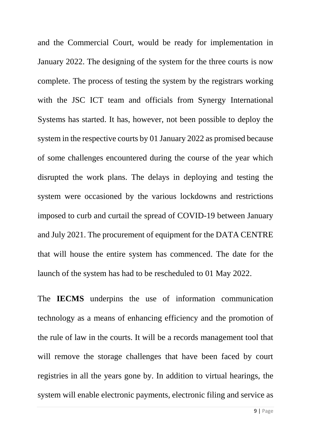and the Commercial Court, would be ready for implementation in January 2022. The designing of the system for the three courts is now complete. The process of testing the system by the registrars working with the JSC ICT team and officials from Synergy International Systems has started. It has, however, not been possible to deploy the system in the respective courts by 01 January 2022 as promised because of some challenges encountered during the course of the year which disrupted the work plans. The delays in deploying and testing the system were occasioned by the various lockdowns and restrictions imposed to curb and curtail the spread of COVID-19 between January and July 2021. The procurement of equipment for the DATA CENTRE that will house the entire system has commenced. The date for the launch of the system has had to be rescheduled to 01 May 2022.

The **IECMS** underpins the use of information communication technology as a means of enhancing efficiency and the promotion of the rule of law in the courts. It will be a records management tool that will remove the storage challenges that have been faced by court registries in all the years gone by. In addition to virtual hearings, the system will enable electronic payments, electronic filing and service as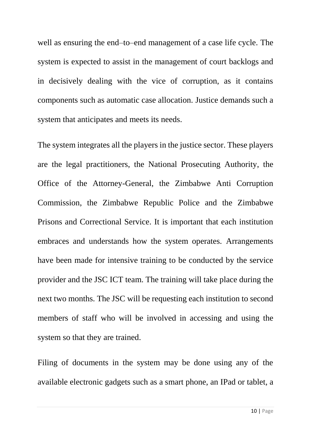well as ensuring the end–to–end management of a case life cycle. The system is expected to assist in the management of court backlogs and in decisively dealing with the vice of corruption, as it contains components such as automatic case allocation. Justice demands such a system that anticipates and meets its needs.

The system integrates all the players in the justice sector. These players are the legal practitioners, the National Prosecuting Authority, the Office of the Attorney-General, the Zimbabwe Anti Corruption Commission, the Zimbabwe Republic Police and the Zimbabwe Prisons and Correctional Service. It is important that each institution embraces and understands how the system operates. Arrangements have been made for intensive training to be conducted by the service provider and the JSC ICT team. The training will take place during the next two months. The JSC will be requesting each institution to second members of staff who will be involved in accessing and using the system so that they are trained.

Filing of documents in the system may be done using any of the available electronic gadgets such as a smart phone, an IPad or tablet, a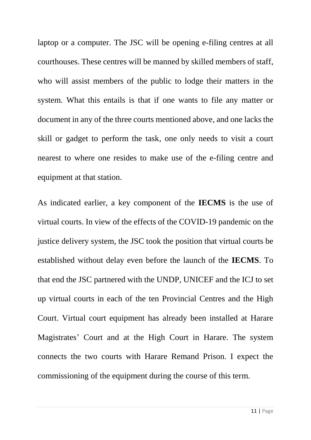laptop or a computer. The JSC will be opening e-filing centres at all courthouses. These centres will be manned by skilled members of staff, who will assist members of the public to lodge their matters in the system. What this entails is that if one wants to file any matter or document in any of the three courts mentioned above, and one lacks the skill or gadget to perform the task, one only needs to visit a court nearest to where one resides to make use of the e-filing centre and equipment at that station.

As indicated earlier, a key component of the **IECMS** is the use of virtual courts. In view of the effects of the COVID-19 pandemic on the justice delivery system, the JSC took the position that virtual courts be established without delay even before the launch of the **IECMS**. To that end the JSC partnered with the UNDP, UNICEF and the ICJ to set up virtual courts in each of the ten Provincial Centres and the High Court. Virtual court equipment has already been installed at Harare Magistrates' Court and at the High Court in Harare. The system connects the two courts with Harare Remand Prison. I expect the commissioning of the equipment during the course of this term.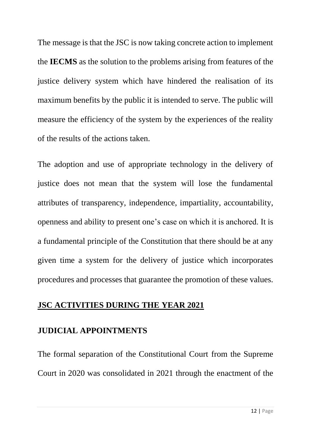The message is that the JSC is now taking concrete action to implement the **IECMS** as the solution to the problems arising from features of the justice delivery system which have hindered the realisation of its maximum benefits by the public it is intended to serve. The public will measure the efficiency of the system by the experiences of the reality of the results of the actions taken.

The adoption and use of appropriate technology in the delivery of justice does not mean that the system will lose the fundamental attributes of transparency, independence, impartiality, accountability, openness and ability to present one's case on which it is anchored. It is a fundamental principle of the Constitution that there should be at any given time a system for the delivery of justice which incorporates procedures and processes that guarantee the promotion of these values.

#### **JSC ACTIVITIES DURING THE YEAR 2021**

#### **JUDICIAL APPOINTMENTS**

The formal separation of the Constitutional Court from the Supreme Court in 2020 was consolidated in 2021 through the enactment of the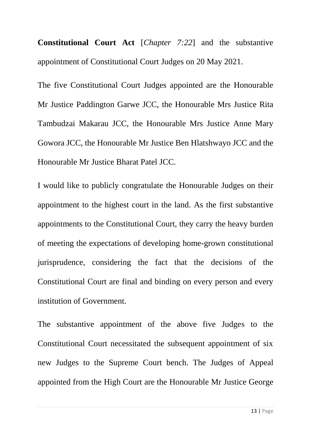**Constitutional Court Act** [*Chapter 7:22*] and the substantive appointment of Constitutional Court Judges on 20 May 2021.

The five Constitutional Court Judges appointed are the Honourable Mr Justice Paddington Garwe JCC, the Honourable Mrs Justice Rita Tambudzai Makarau JCC, the Honourable Mrs Justice Anne Mary Gowora JCC, the Honourable Mr Justice Ben Hlatshwayo JCC and the Honourable Mr Justice Bharat Patel JCC.

I would like to publicly congratulate the Honourable Judges on their appointment to the highest court in the land. As the first substantive appointments to the Constitutional Court, they carry the heavy burden of meeting the expectations of developing home-grown constitutional jurisprudence, considering the fact that the decisions of the Constitutional Court are final and binding on every person and every institution of Government.

The substantive appointment of the above five Judges to the Constitutional Court necessitated the subsequent appointment of six new Judges to the Supreme Court bench. The Judges of Appeal appointed from the High Court are the Honourable Mr Justice George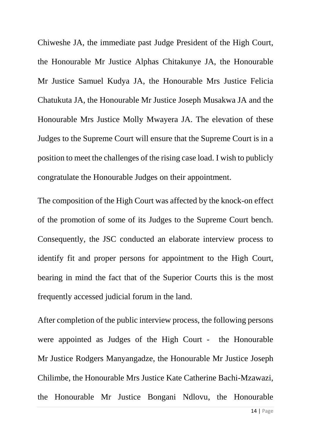Chiweshe JA, the immediate past Judge President of the High Court, the Honourable Mr Justice Alphas Chitakunye JA, the Honourable Mr Justice Samuel Kudya JA, the Honourable Mrs Justice Felicia Chatukuta JA, the Honourable Mr Justice Joseph Musakwa JA and the Honourable Mrs Justice Molly Mwayera JA. The elevation of these Judges to the Supreme Court will ensure that the Supreme Court is in a position to meet the challenges of the rising case load. I wish to publicly congratulate the Honourable Judges on their appointment.

The composition of the High Court was affected by the knock-on effect of the promotion of some of its Judges to the Supreme Court bench. Consequently, the JSC conducted an elaborate interview process to identify fit and proper persons for appointment to the High Court, bearing in mind the fact that of the Superior Courts this is the most frequently accessed judicial forum in the land.

After completion of the public interview process, the following persons were appointed as Judges of the High Court - the Honourable Mr Justice Rodgers Manyangadze, the Honourable Mr Justice Joseph Chilimbe, the Honourable Mrs Justice Kate Catherine Bachi-Mzawazi, the Honourable Mr Justice Bongani Ndlovu, the Honourable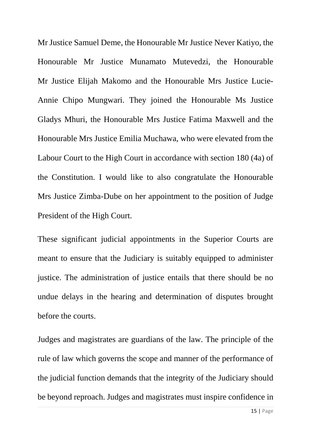Mr Justice Samuel Deme, the Honourable Mr Justice Never Katiyo, the Honourable Mr Justice Munamato Mutevedzi, the Honourable Mr Justice Elijah Makomo and the Honourable Mrs Justice Lucie-Annie Chipo Mungwari. They joined the Honourable Ms Justice Gladys Mhuri, the Honourable Mrs Justice Fatima Maxwell and the Honourable Mrs Justice Emilia Muchawa, who were elevated from the Labour Court to the High Court in accordance with section 180 (4a) of the Constitution. I would like to also congratulate the Honourable Mrs Justice Zimba-Dube on her appointment to the position of Judge President of the High Court.

These significant judicial appointments in the Superior Courts are meant to ensure that the Judiciary is suitably equipped to administer justice. The administration of justice entails that there should be no undue delays in the hearing and determination of disputes brought before the courts.

Judges and magistrates are guardians of the law. The principle of the rule of law which governs the scope and manner of the performance of the judicial function demands that the integrity of the Judiciary should be beyond reproach. Judges and magistrates must inspire confidence in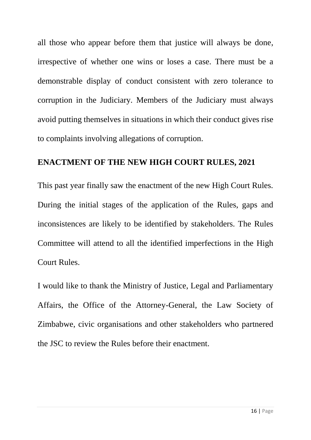all those who appear before them that justice will always be done, irrespective of whether one wins or loses a case. There must be a demonstrable display of conduct consistent with zero tolerance to corruption in the Judiciary. Members of the Judiciary must always avoid putting themselves in situations in which their conduct gives rise to complaints involving allegations of corruption.

#### **ENACTMENT OF THE NEW HIGH COURT RULES, 2021**

This past year finally saw the enactment of the new High Court Rules. During the initial stages of the application of the Rules, gaps and inconsistences are likely to be identified by stakeholders. The Rules Committee will attend to all the identified imperfections in the High Court Rules.

I would like to thank the Ministry of Justice, Legal and Parliamentary Affairs, the Office of the Attorney-General, the Law Society of Zimbabwe, civic organisations and other stakeholders who partnered the JSC to review the Rules before their enactment.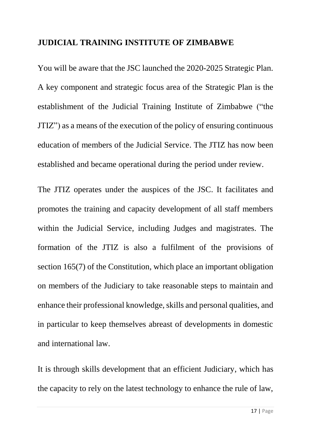#### **JUDICIAL TRAINING INSTITUTE OF ZIMBABWE**

You will be aware that the JSC launched the 2020-2025 Strategic Plan. A key component and strategic focus area of the Strategic Plan is the establishment of the Judicial Training Institute of Zimbabwe ("the JTIZ") as a means of the execution of the policy of ensuring continuous education of members of the Judicial Service. The JTIZ has now been established and became operational during the period under review.

The JTIZ operates under the auspices of the JSC. It facilitates and promotes the training and capacity development of all staff members within the Judicial Service, including Judges and magistrates. The formation of the JTIZ is also a fulfilment of the provisions of section 165(7) of the Constitution, which place an important obligation on members of the Judiciary to take reasonable steps to maintain and enhance their professional knowledge, skills and personal qualities, and in particular to keep themselves abreast of developments in domestic and international law.

It is through skills development that an efficient Judiciary, which has the capacity to rely on the latest technology to enhance the rule of law,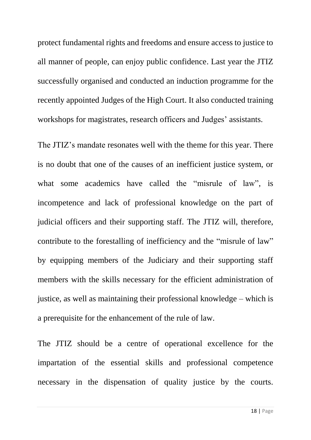protect fundamental rights and freedoms and ensure access to justice to all manner of people, can enjoy public confidence. Last year the JTIZ successfully organised and conducted an induction programme for the recently appointed Judges of the High Court. It also conducted training workshops for magistrates, research officers and Judges' assistants.

The JTIZ's mandate resonates well with the theme for this year. There is no doubt that one of the causes of an inefficient justice system, or what some academics have called the "misrule of law", is incompetence and lack of professional knowledge on the part of judicial officers and their supporting staff. The JTIZ will, therefore, contribute to the forestalling of inefficiency and the "misrule of law" by equipping members of the Judiciary and their supporting staff members with the skills necessary for the efficient administration of justice, as well as maintaining their professional knowledge – which is a prerequisite for the enhancement of the rule of law.

The JTIZ should be a centre of operational excellence for the impartation of the essential skills and professional competence necessary in the dispensation of quality justice by the courts.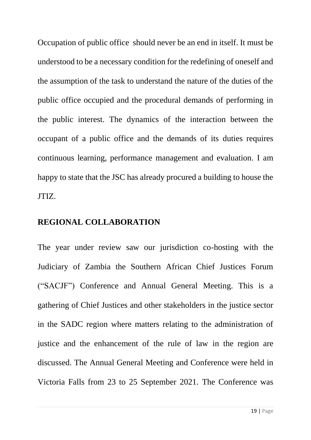Occupation of public office should never be an end in itself. It must be understood to be a necessary condition for the redefining of oneself and the assumption of the task to understand the nature of the duties of the public office occupied and the procedural demands of performing in the public interest. The dynamics of the interaction between the occupant of a public office and the demands of its duties requires continuous learning, performance management and evaluation. I am happy to state that the JSC has already procured a building to house the JTIZ.

#### **REGIONAL COLLABORATION**

The year under review saw our jurisdiction co-hosting with the Judiciary of Zambia the Southern African Chief Justices Forum ("SACJF") Conference and Annual General Meeting. This is a gathering of Chief Justices and other stakeholders in the justice sector in the SADC region where matters relating to the administration of justice and the enhancement of the rule of law in the region are discussed. The Annual General Meeting and Conference were held in Victoria Falls from 23 to 25 September 2021. The Conference was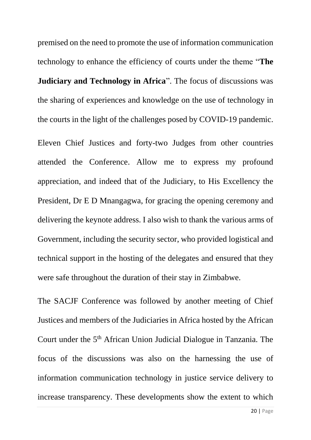premised on the need to promote the use of information communication technology to enhance the efficiency of courts under the theme "**The Judiciary and Technology in Africa**". The focus of discussions was the sharing of experiences and knowledge on the use of technology in the courts in the light of the challenges posed by COVID-19 pandemic.

Eleven Chief Justices and forty-two Judges from other countries attended the Conference. Allow me to express my profound appreciation, and indeed that of the Judiciary, to His Excellency the President, Dr E D Mnangagwa, for gracing the opening ceremony and delivering the keynote address. I also wish to thank the various arms of Government, including the security sector, who provided logistical and technical support in the hosting of the delegates and ensured that they were safe throughout the duration of their stay in Zimbabwe.

The SACJF Conference was followed by another meeting of Chief Justices and members of the Judiciaries in Africa hosted by the African Court under the 5<sup>th</sup> African Union Judicial Dialogue in Tanzania. The focus of the discussions was also on the harnessing the use of information communication technology in justice service delivery to increase transparency. These developments show the extent to which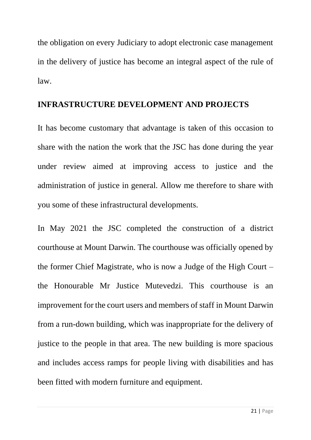the obligation on every Judiciary to adopt electronic case management in the delivery of justice has become an integral aspect of the rule of law.

#### **INFRASTRUCTURE DEVELOPMENT AND PROJECTS**

It has become customary that advantage is taken of this occasion to share with the nation the work that the JSC has done during the year under review aimed at improving access to justice and the administration of justice in general. Allow me therefore to share with you some of these infrastructural developments.

In May 2021 the JSC completed the construction of a district courthouse at Mount Darwin. The courthouse was officially opened by the former Chief Magistrate, who is now a Judge of the High Court – the Honourable Mr Justice Mutevedzi. This courthouse is an improvement for the court users and members of staff in Mount Darwin from a run-down building, which was inappropriate for the delivery of justice to the people in that area. The new building is more spacious and includes access ramps for people living with disabilities and has been fitted with modern furniture and equipment.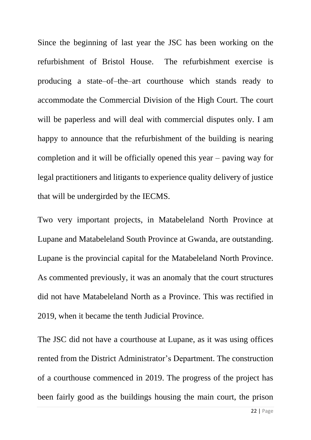Since the beginning of last year the JSC has been working on the refurbishment of Bristol House. The refurbishment exercise is producing a state–of–the–art courthouse which stands ready to accommodate the Commercial Division of the High Court. The court will be paperless and will deal with commercial disputes only. I am happy to announce that the refurbishment of the building is nearing completion and it will be officially opened this year – paving way for legal practitioners and litigants to experience quality delivery of justice that will be undergirded by the IECMS.

Two very important projects, in Matabeleland North Province at Lupane and Matabeleland South Province at Gwanda, are outstanding. Lupane is the provincial capital for the Matabeleland North Province. As commented previously, it was an anomaly that the court structures did not have Matabeleland North as a Province. This was rectified in 2019, when it became the tenth Judicial Province.

The JSC did not have a courthouse at Lupane, as it was using offices rented from the District Administrator's Department. The construction of a courthouse commenced in 2019. The progress of the project has been fairly good as the buildings housing the main court, the prison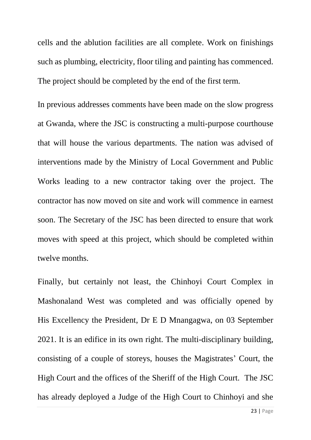cells and the ablution facilities are all complete. Work on finishings such as plumbing, electricity, floor tiling and painting has commenced. The project should be completed by the end of the first term.

In previous addresses comments have been made on the slow progress at Gwanda, where the JSC is constructing a multi-purpose courthouse that will house the various departments. The nation was advised of interventions made by the Ministry of Local Government and Public Works leading to a new contractor taking over the project. The contractor has now moved on site and work will commence in earnest soon. The Secretary of the JSC has been directed to ensure that work moves with speed at this project, which should be completed within twelve months.

Finally, but certainly not least, the Chinhoyi Court Complex in Mashonaland West was completed and was officially opened by His Excellency the President, Dr E D Mnangagwa, on 03 September 2021. It is an edifice in its own right. The multi-disciplinary building, consisting of a couple of storeys, houses the Magistrates' Court, the High Court and the offices of the Sheriff of the High Court. The JSC has already deployed a Judge of the High Court to Chinhoyi and she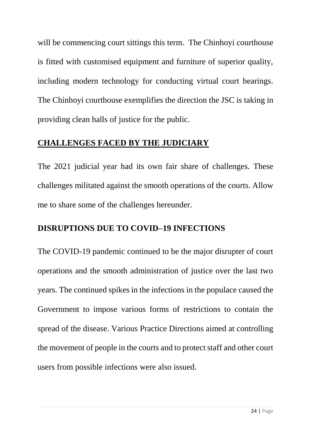will be commencing court sittings this term. The Chinhoyi courthouse is fitted with customised equipment and furniture of superior quality, including modern technology for conducting virtual court hearings. The Chinhoyi courthouse exemplifies the direction the JSC is taking in providing clean halls of justice for the public.

# **CHALLENGES FACED BY THE JUDICIARY**

The 2021 judicial year had its own fair share of challenges. These challenges militated against the smooth operations of the courts. Allow me to share some of the challenges hereunder.

# **DISRUPTIONS DUE TO COVID–19 INFECTIONS**

The COVID-19 pandemic continued to be the major disrupter of court operations and the smooth administration of justice over the last two years. The continued spikes in the infections in the populace caused the Government to impose various forms of restrictions to contain the spread of the disease. Various Practice Directions aimed at controlling the movement of people in the courts and to protect staff and other court users from possible infections were also issued.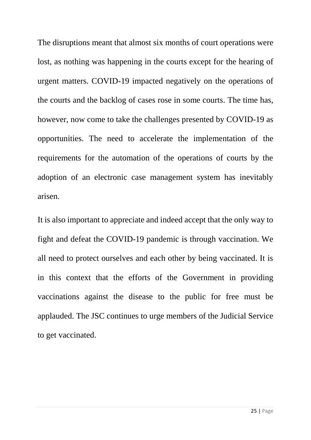The disruptions meant that almost six months of court operations were lost, as nothing was happening in the courts except for the hearing of urgent matters. COVID-19 impacted negatively on the operations of the courts and the backlog of cases rose in some courts. The time has, however, now come to take the challenges presented by COVID-19 as opportunities. The need to accelerate the implementation of the requirements for the automation of the operations of courts by the adoption of an electronic case management system has inevitably arisen.

It is also important to appreciate and indeed accept that the only way to fight and defeat the COVID-19 pandemic is through vaccination. We all need to protect ourselves and each other by being vaccinated. It is in this context that the efforts of the Government in providing vaccinations against the disease to the public for free must be applauded. The JSC continues to urge members of the Judicial Service to get vaccinated.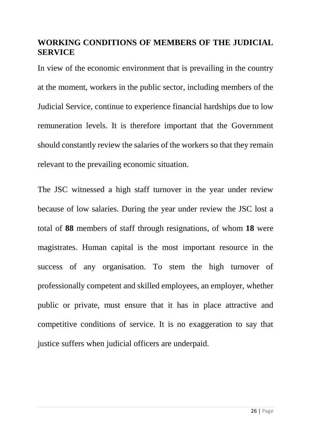## **WORKING CONDITIONS OF MEMBERS OF THE JUDICIAL SERVICE**

In view of the economic environment that is prevailing in the country at the moment, workers in the public sector, including members of the Judicial Service, continue to experience financial hardships due to low remuneration levels. It is therefore important that the Government should constantly review the salaries of the workers so that they remain relevant to the prevailing economic situation.

The JSC witnessed a high staff turnover in the year under review because of low salaries. During the year under review the JSC lost a total of **88** members of staff through resignations, of whom **18** were magistrates. Human capital is the most important resource in the success of any organisation. To stem the high turnover of professionally competent and skilled employees, an employer, whether public or private, must ensure that it has in place attractive and competitive conditions of service. It is no exaggeration to say that justice suffers when judicial officers are underpaid.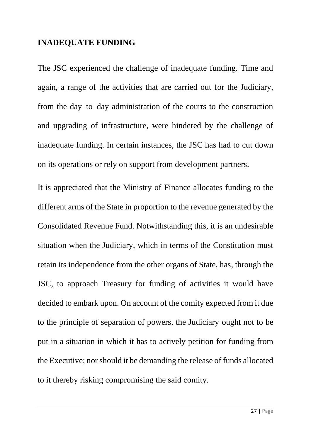#### **INADEQUATE FUNDING**

The JSC experienced the challenge of inadequate funding. Time and again, a range of the activities that are carried out for the Judiciary, from the day–to–day administration of the courts to the construction and upgrading of infrastructure, were hindered by the challenge of inadequate funding. In certain instances, the JSC has had to cut down on its operations or rely on support from development partners.

It is appreciated that the Ministry of Finance allocates funding to the different arms of the State in proportion to the revenue generated by the Consolidated Revenue Fund. Notwithstanding this, it is an undesirable situation when the Judiciary, which in terms of the Constitution must retain its independence from the other organs of State, has, through the JSC, to approach Treasury for funding of activities it would have decided to embark upon. On account of the comity expected from it due to the principle of separation of powers, the Judiciary ought not to be put in a situation in which it has to actively petition for funding from the Executive; nor should it be demanding the release of funds allocated to it thereby risking compromising the said comity.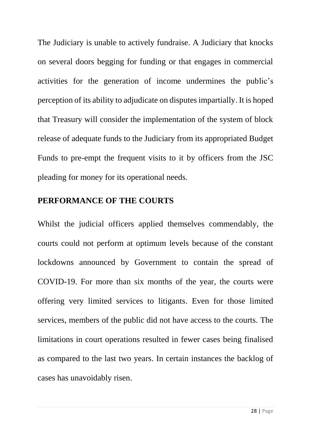The Judiciary is unable to actively fundraise. A Judiciary that knocks on several doors begging for funding or that engages in commercial activities for the generation of income undermines the public's perception of its ability to adjudicate on disputes impartially. It is hoped that Treasury will consider the implementation of the system of block release of adequate funds to the Judiciary from its appropriated Budget Funds to pre-empt the frequent visits to it by officers from the JSC pleading for money for its operational needs.

#### **PERFORMANCE OF THE COURTS**

Whilst the judicial officers applied themselves commendably, the courts could not perform at optimum levels because of the constant lockdowns announced by Government to contain the spread of COVID-19. For more than six months of the year, the courts were offering very limited services to litigants. Even for those limited services, members of the public did not have access to the courts. The limitations in court operations resulted in fewer cases being finalised as compared to the last two years. In certain instances the backlog of cases has unavoidably risen.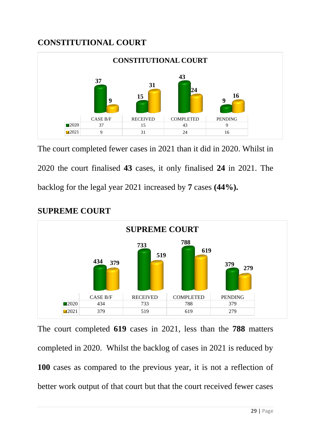# **CONSTITUTIONAL COURT**



The court completed fewer cases in 2021 than it did in 2020. Whilst in 2020 the court finalised **43** cases, it only finalised **24** in 2021. The backlog for the legal year 2021 increased by **7** cases **(44%).**



#### **SUPREME COURT**

The court completed **619** cases in 2021, less than the **788** matters completed in 2020. Whilst the backlog of cases in 2021 is reduced by cases as compared to the previous year, it is not a reflection of better work output of that court but that the court received fewer cases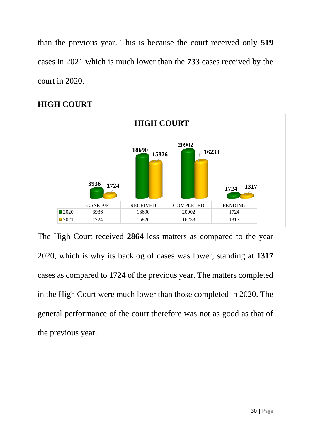than the previous year. This is because the court received only **519** cases in 2021 which is much lower than the **733** cases received by the court in 2020.



# **HIGH COURT**

The High Court received **2864** less matters as compared to the year 2020, which is why its backlog of cases was lower, standing at **1317** cases as compared to **1724** of the previous year. The matters completed in the High Court were much lower than those completed in 2020. The general performance of the court therefore was not as good as that of the previous year.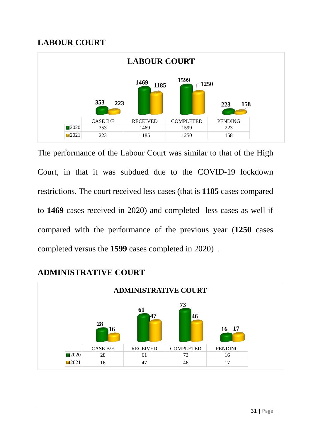# **LABOUR COURT**



The performance of the Labour Court was similar to that of the High Court, in that it was subdued due to the COVID-19 lockdown restrictions. The court received less cases (that is **1185** cases compared to **1469** cases received in 2020) and completed less cases as well if compared with the performance of the previous year (**1250** cases completed versus the **1599** cases completed in 2020) .



## **ADMINISTRATIVE COURT**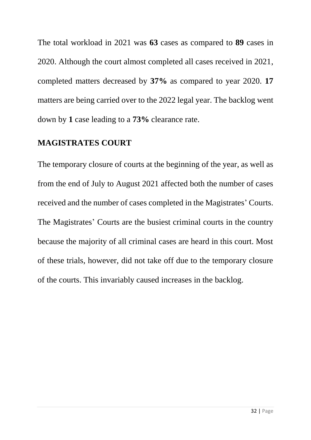The total workload in 2021 was **63** cases as compared to **89** cases in 2020. Although the court almost completed all cases received in 2021, completed matters decreased by **37%** as compared to year 2020. **17** matters are being carried over to the 2022 legal year. The backlog went down by **1** case leading to a **73%** clearance rate.

## **MAGISTRATES COURT**

The temporary closure of courts at the beginning of the year, as well as from the end of July to August 2021 affected both the number of cases received and the number of cases completed in the Magistrates' Courts. The Magistrates' Courts are the busiest criminal courts in the country because the majority of all criminal cases are heard in this court. Most of these trials, however, did not take off due to the temporary closure of the courts. This invariably caused increases in the backlog.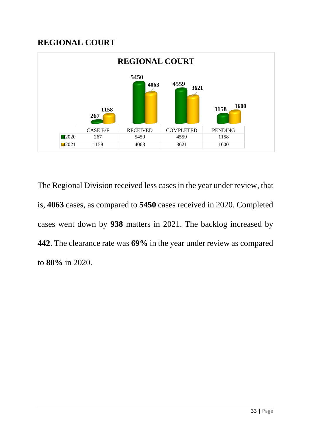## **REGIONAL COURT**



The Regional Division received less cases in the year under review, that is, **4063** cases, as compared to **5450** cases received in 2020. Completed cases went down by **938** matters in 2021. The backlog increased by **442**. The clearance rate was **69%** in the year under review as compared to **80%** in 2020.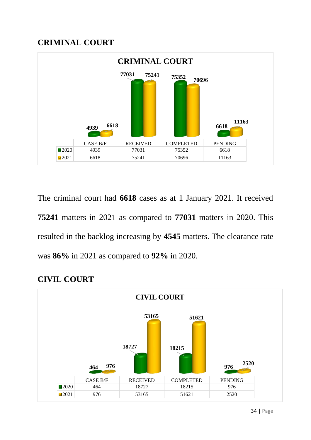### **CRIMINAL COURT**



The criminal court had **6618** cases as at 1 January 2021. It received matters in 2021 as compared to **77031** matters in 2020. This resulted in the backlog increasing by **4545** matters. The clearance rate was **86%** in 2021 as compared to **92%** in 2020.



# **CIVIL COURT**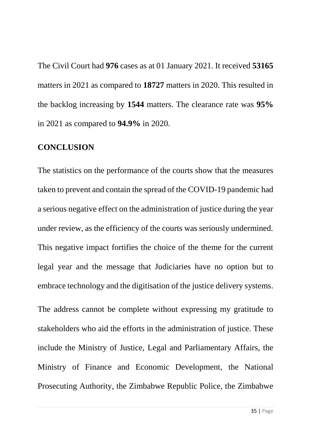The Civil Court had **976** cases as at 01 January 2021. It received **53165** matters in 2021 as compared to **18727** matters in 2020. This resulted in the backlog increasing by **1544** matters. The clearance rate was **95%** in 2021 as compared to **94.9%** in 2020.

#### **CONCLUSION**

The statistics on the performance of the courts show that the measures taken to prevent and contain the spread of the COVID-19 pandemic had a serious negative effect on the administration of justice during the year under review, as the efficiency of the courts was seriously undermined. This negative impact fortifies the choice of the theme for the current legal year and the message that Judiciaries have no option but to embrace technology and the digitisation of the justice delivery systems.

The address cannot be complete without expressing my gratitude to stakeholders who aid the efforts in the administration of justice. These include the Ministry of Justice, Legal and Parliamentary Affairs, the Ministry of Finance and Economic Development, the National Prosecuting Authority, the Zimbabwe Republic Police, the Zimbabwe